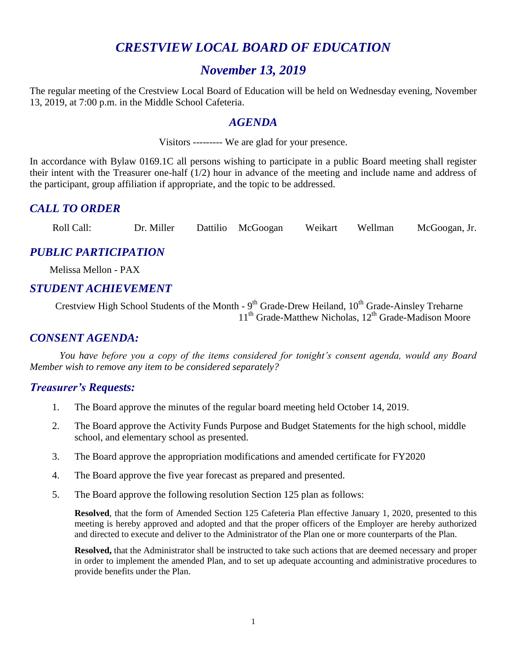# *CRESTVIEW LOCAL BOARD OF EDUCATION*

# *November 13, 2019*

The regular meeting of the Crestview Local Board of Education will be held on Wednesday evening, November 13, 2019, at 7:00 p.m. in the Middle School Cafeteria.

#### *AGENDA*

Visitors --------- We are glad for your presence.

In accordance with Bylaw 0169.1C all persons wishing to participate in a public Board meeting shall register their intent with the Treasurer one-half (1/2) hour in advance of the meeting and include name and address of the participant, group affiliation if appropriate, and the topic to be addressed.

## *CALL TO ORDER*

Roll Call: Dr. Miller Dattilio McGoogan Weikart Wellman McGoogan, Jr.

## *PUBLIC PARTICIPATION*

 Melissa Mellon - PAX  $\overline{a}$ 

#### *STUDENT ACHIEVEMENT*

Crestview High School Students of the Month - 9<sup>th</sup> Grade-Drew Heiland, 10<sup>th</sup> Grade-Ainsley Treharne 11<sup>th</sup> Grade-Matthew Nicholas, 12<sup>th</sup> Grade-Madison Moore

### *CONSENT AGENDA:*

*You have before you a copy of the items considered for tonight's consent agenda, would any Board Member wish to remove any item to be considered separately?*

#### *Treasurer's Requests:*

- 1. The Board approve the minutes of the regular board meeting held October 14, 2019.
- 2. The Board approve the Activity Funds Purpose and Budget Statements for the high school, middle school, and elementary school as presented.
- 3. The Board approve the appropriation modifications and amended certificate for FY2020
- 4. The Board approve the five year forecast as prepared and presented.
- 5. The Board approve the following resolution Section 125 plan as follows:

**Resolved**, that the form of Amended Section 125 Cafeteria Plan effective January 1, 2020, presented to this meeting is hereby approved and adopted and that the proper officers of the Employer are hereby authorized and directed to execute and deliver to the Administrator of the Plan one or more counterparts of the Plan.

**Resolved,** that the Administrator shall be instructed to take such actions that are deemed necessary and proper in order to implement the amended Plan, and to set up adequate accounting and administrative procedures to provide benefits under the Plan.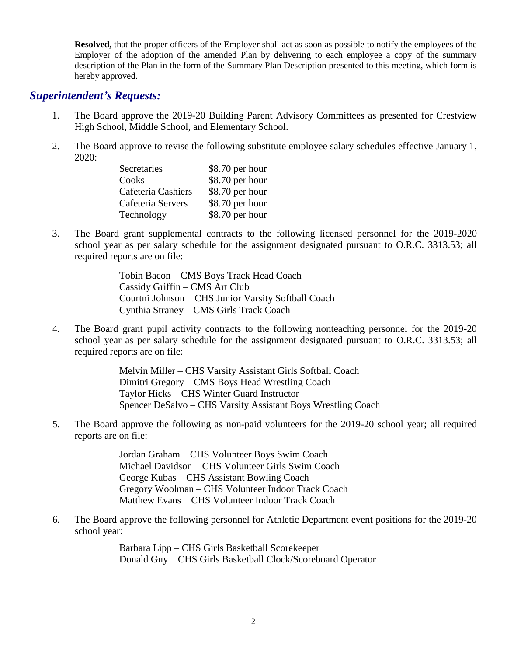**Resolved,** that the proper officers of the Employer shall act as soon as possible to notify the employees of the Employer of the adoption of the amended Plan by delivering to each employee a copy of the summary description of the Plan in the form of the Summary Plan Description presented to this meeting, which form is hereby approved.

#### *Superintendent's Requests:*

- 1. The Board approve the 2019-20 Building Parent Advisory Committees as presented for Crestview High School, Middle School, and Elementary School.
- 2. The Board approve to revise the following substitute employee salary schedules effective January 1, 2020:

| Secretaries        | \$8.70 per hour |
|--------------------|-----------------|
| Cooks              | \$8.70 per hour |
| Cafeteria Cashiers | \$8.70 per hour |
| Cafeteria Servers  | \$8.70 per hour |
| Technology         | \$8.70 per hour |

3. The Board grant supplemental contracts to the following licensed personnel for the 2019-2020 school year as per salary schedule for the assignment designated pursuant to O.R.C. 3313.53; all required reports are on file:

> Tobin Bacon – CMS Boys Track Head Coach Cassidy Griffin – CMS Art Club Courtni Johnson – CHS Junior Varsity Softball Coach Cynthia Straney – CMS Girls Track Coach

4. The Board grant pupil activity contracts to the following nonteaching personnel for the 2019-20 school year as per salary schedule for the assignment designated pursuant to O.R.C. 3313.53; all required reports are on file:

> Melvin Miller – CHS Varsity Assistant Girls Softball Coach Dimitri Gregory – CMS Boys Head Wrestling Coach Taylor Hicks – CHS Winter Guard Instructor Spencer DeSalvo – CHS Varsity Assistant Boys Wrestling Coach

5. The Board approve the following as non-paid volunteers for the 2019-20 school year; all required reports are on file:

> Jordan Graham – CHS Volunteer Boys Swim Coach Michael Davidson – CHS Volunteer Girls Swim Coach George Kubas – CHS Assistant Bowling Coach Gregory Woolman – CHS Volunteer Indoor Track Coach Matthew Evans – CHS Volunteer Indoor Track Coach

6. The Board approve the following personnel for Athletic Department event positions for the 2019-20 school year:

> Barbara Lipp – CHS Girls Basketball Scorekeeper Donald Guy – CHS Girls Basketball Clock/Scoreboard Operator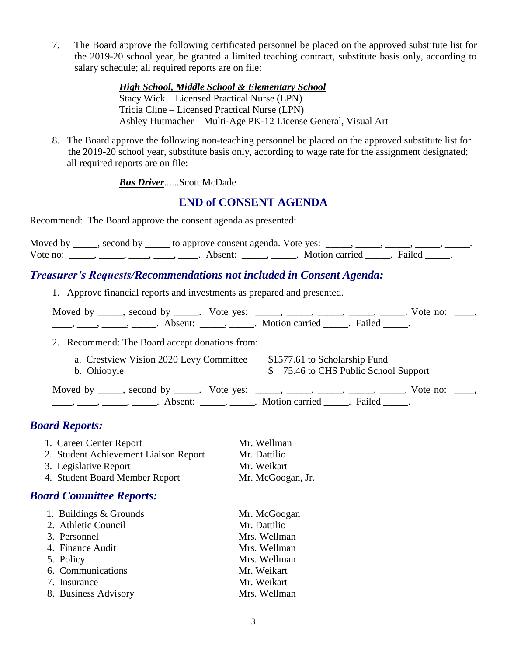7. The Board approve the following certificated personnel be placed on the approved substitute list for the 2019-20 school year, be granted a limited teaching contract, substitute basis only, according to salary schedule; all required reports are on file:

> *High School, Middle School & Elementary School* Stacy Wick – Licensed Practical Nurse (LPN) Tricia Cline – Licensed Practical Nurse (LPN) Ashley Hutmacher – Multi-Age PK-12 License General, Visual Art

 8. The Board approve the following non-teaching personnel be placed on the approved substitute list for the 2019-20 school year, substitute basis only, according to wage rate for the assignment designated; all required reports are on file:

*Bus Driver*......Scott McDade

## **END of CONSENT AGENDA**

Recommend: The Board approve the consent agenda as presented:

|          | Moved by ______, second by ______ to approve consent agenda. Vote yes: |                         |  |
|----------|------------------------------------------------------------------------|-------------------------|--|
| Vote no: | Absent <sup>.</sup>                                                    | Motion carried . Failed |  |

## *Treasurer's Requests/Recommendations not included in Consent Agenda:*

1. Approve financial reports and investments as prepared and presented.

| Moved by , second by |                     | Vote yes: |                       |                         | Vote no: |  |
|----------------------|---------------------|-----------|-----------------------|-------------------------|----------|--|
|                      | Absent <sup>.</sup> |           | <b>Motion carried</b> | <b>Example 1</b> Failed |          |  |

2. Recommend: The Board accept donations from:

| a. Crestview Vision 2020 Levy Committee | \$1577.61 to Scholarship Fund        |
|-----------------------------------------|--------------------------------------|
| b. Ohiopyle                             | \$75.46 to CHS Public School Support |
|                                         |                                      |

Moved by \_\_\_\_, second by \_\_\_\_\_. Vote yes: \_\_\_\_, \_\_\_\_, \_\_\_\_, \_\_\_\_, \_\_\_\_. Vote no: \_\_\_, \_\_\_\_, \_\_\_\_, \_\_\_\_\_, \_\_\_\_\_\_. Absent: \_\_\_\_\_\_, \_\_\_\_\_\_. Motion carried \_\_\_\_\_\_. Failed \_\_\_\_\_.

# *Board Reports:*

| 1. Career Center Report               | Mr. Wellman       |
|---------------------------------------|-------------------|
| 2. Student Achievement Liaison Report | Mr. Dattilio      |
| 3. Legislative Report                 | Mr. Weikart       |
| 4. Student Board Member Report        | Mr. McGoogan, Jr. |

### *Board Committee Reports:*

| 1. Buildings & Grounds | Mr. McGoogan |
|------------------------|--------------|
| 2. Athletic Council    | Mr. Dattilio |
| 3. Personnel           | Mrs. Wellman |
| 4. Finance Audit       | Mrs. Wellman |
| 5. Policy              | Mrs. Wellman |
| 6. Communications      | Mr. Weikart  |
| 7. Insurance           | Mr. Weikart  |
| 8. Business Advisory   | Mrs. Wellman |
|                        |              |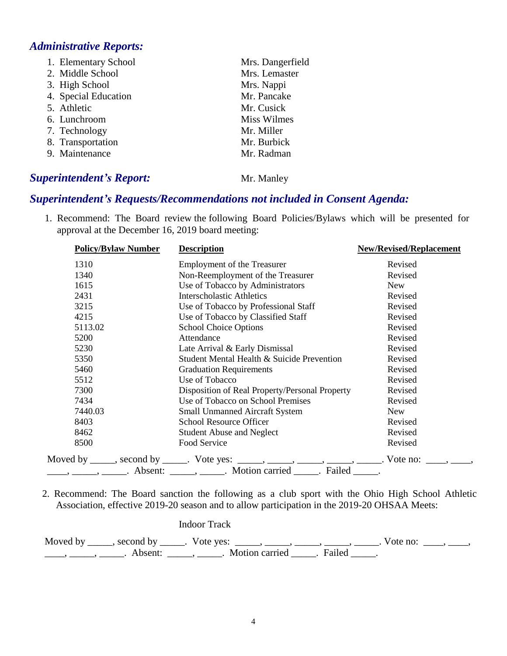# *Administrative Reports:*

| 1. Elementary School | Mrs. Dangerfield   |
|----------------------|--------------------|
| 2. Middle School     | Mrs. Lemaster      |
| 3. High School       | Mrs. Nappi         |
| 4. Special Education | Mr. Pancake        |
| 5. Athletic          | Mr. Cusick         |
| 6. Lunchroom         | <b>Miss Wilmes</b> |
| 7. Technology        | Mr. Miller         |
| 8. Transportation    | Mr. Burbick        |
| 9. Maintenance       | Mr. Radman         |
|                      |                    |

## **Superintendent's Report:** Mr. Manley

# *Superintendent's Requests/Recommendations not included in Consent Agenda:*

1. Recommend: The Board review the following Board Policies/Bylaws which will be presented for approval at the December 16, 2019 board meeting:

| <b>Policy/Bylaw Number</b> | <b>Description</b>                                                                                                                                                                                    | <b>New/Revised/Replacement</b> |
|----------------------------|-------------------------------------------------------------------------------------------------------------------------------------------------------------------------------------------------------|--------------------------------|
| 1310                       | <b>Employment of the Treasurer</b>                                                                                                                                                                    | Revised                        |
| 1340                       | Non-Reemployment of the Treasurer                                                                                                                                                                     | Revised                        |
| 1615                       | Use of Tobacco by Administrators                                                                                                                                                                      | <b>New</b>                     |
| 2431                       | <b>Interscholastic Athletics</b>                                                                                                                                                                      | Revised                        |
| 3215                       | Use of Tobacco by Professional Staff                                                                                                                                                                  | Revised                        |
| 4215                       | Use of Tobacco by Classified Staff                                                                                                                                                                    | Revised                        |
| 5113.02                    | <b>School Choice Options</b>                                                                                                                                                                          | Revised                        |
| 5200                       | Attendance                                                                                                                                                                                            | Revised                        |
| 5230                       | Late Arrival & Early Dismissal                                                                                                                                                                        | Revised                        |
| 5350                       | Student Mental Health & Suicide Prevention                                                                                                                                                            | Revised                        |
| 5460                       | <b>Graduation Requirements</b>                                                                                                                                                                        | Revised                        |
| 5512                       | Use of Tobacco                                                                                                                                                                                        | Revised                        |
| 7300                       | Disposition of Real Property/Personal Property                                                                                                                                                        | Revised                        |
| 7434                       | Use of Tobacco on School Premises                                                                                                                                                                     | Revised                        |
| 7440.03                    | <b>Small Unmanned Aircraft System</b>                                                                                                                                                                 | <b>New</b>                     |
| 8403                       | School Resource Officer                                                                                                                                                                               | Revised                        |
| 8462                       | <b>Student Abuse and Neglect</b>                                                                                                                                                                      | Revised                        |
| 8500                       | Food Service                                                                                                                                                                                          | Revised                        |
|                            | Moved by _____, second by _____. Vote yes: _____, _____, _____, _____, _____. Vote no: ____, _____,<br><u>_____, ______</u> , _______. Absent: _______, ______. Motion carried ______. Failed ______. |                                |

 2. Recommend: The Board sanction the following as a club sport with the Ohio High School Athletic Association, effective 2019-20 season and to allow participation in the 2019-20 OHSAA Meets:

| Indoor Track                                                                                                                 |  |
|------------------------------------------------------------------------------------------------------------------------------|--|
| Moved by ______, second by _____. Vote yes: _____, _____, _____, _____, _____. Vote no:<br>Absent: , Motion carried . Failed |  |